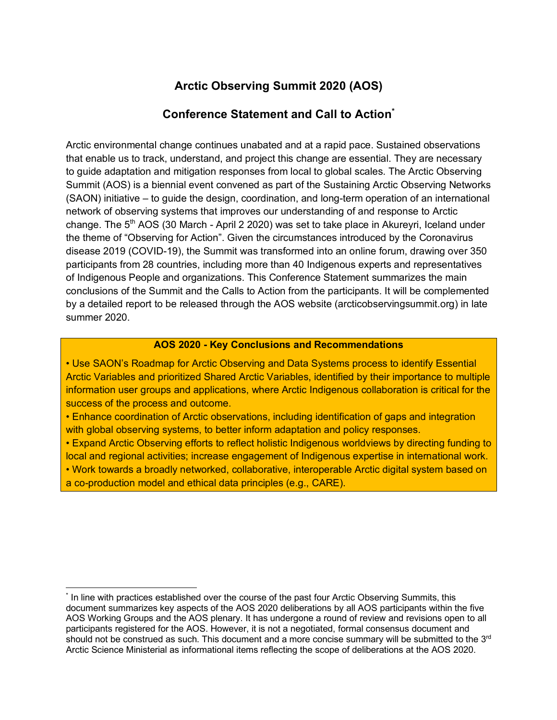# **Arctic Observing Summit 2020 (AOS)**

#### **Conference Statement and Call to Action\***

Arctic environmental change continues unabated and at a rapid pace. Sustained observations that enable us to track, understand, and project this change are essential. They are necessary to guide adaptation and mitigation responses from local to global scales. The Arctic Observing Summit (AOS) is a biennial event convened as part of the Sustaining Arctic Observing Networks (SAON) initiative – to guide the design, coordination, and long-term operation of an international network of observing systems that improves our understanding of and response to Arctic change. The 5<sup>th</sup> AOS (30 March - April 2 2020) was set to take place in Akureyri, Iceland under the theme of "Observing for Action". Given the circumstances introduced by the Coronavirus disease 2019 (COVID-19), the Summit was transformed into an online forum, drawing over 350 participants from 28 countries, including more than 40 Indigenous experts and representatives of Indigenous People and organizations. This Conference Statement summarizes the main conclusions of the Summit and the Calls to Action from the participants. It will be complemented by a detailed report to be released through the AOS website (arcticobservingsummit.org) in late summer 2020.

#### **AOS 2020 - Key Conclusions and Recommendations**

• Use SAON's Roadmap for Arctic Observing and Data Systems process to identify Essential Arctic Variables and prioritized Shared Arctic Variables, identified by their importance to multiple information user groups and applications, where Arctic Indigenous collaboration is critical for the success of the process and outcome.

• Enhance coordination of Arctic observations, including identification of gaps and integration with global observing systems, to better inform adaptation and policy responses.

• Expand Arctic Observing efforts to reflect holistic Indigenous worldviews by directing funding to local and regional activities; increase engagement of Indigenous expertise in international work.

• Work towards a broadly networked, collaborative, interoperable Arctic digital system based on a co-production model and ethical data principles (e.g., CARE).

 <sup>\*</sup> In line with practices established over the course of the past four Arctic Observing Summits, this document summarizes key aspects of the AOS 2020 deliberations by all AOS participants within the five AOS Working Groups and the AOS plenary. It has undergone a round of review and revisions open to all participants registered for the AOS. However, it is not a negotiated, formal consensus document and should not be construed as such. This document and a more concise summary will be submitted to the 3<sup>rd</sup> Arctic Science Ministerial as informational items reflecting the scope of deliberations at the AOS 2020.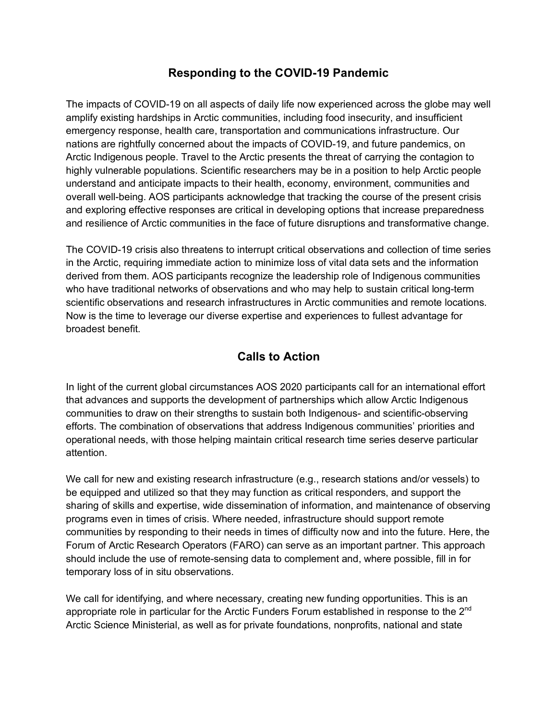### **Responding to the COVID-19 Pandemic**

The impacts of COVID-19 on all aspects of daily life now experienced across the globe may well amplify existing hardships in Arctic communities, including food insecurity, and insufficient emergency response, health care, transportation and communications infrastructure. Our nations are rightfully concerned about the impacts of COVID-19, and future pandemics, on Arctic Indigenous people. Travel to the Arctic presents the threat of carrying the contagion to highly vulnerable populations. Scientific researchers may be in a position to help Arctic people understand and anticipate impacts to their health, economy, environment, communities and overall well-being. AOS participants acknowledge that tracking the course of the present crisis and exploring effective responses are critical in developing options that increase preparedness and resilience of Arctic communities in the face of future disruptions and transformative change.

The COVID-19 crisis also threatens to interrupt critical observations and collection of time series in the Arctic, requiring immediate action to minimize loss of vital data sets and the information derived from them. AOS participants recognize the leadership role of Indigenous communities who have traditional networks of observations and who may help to sustain critical long-term scientific observations and research infrastructures in Arctic communities and remote locations. Now is the time to leverage our diverse expertise and experiences to fullest advantage for broadest benefit.

## **Calls to Action**

In light of the current global circumstances AOS 2020 participants call for an international effort that advances and supports the development of partnerships which allow Arctic Indigenous communities to draw on their strengths to sustain both Indigenous- and scientific-observing efforts. The combination of observations that address Indigenous communities' priorities and operational needs, with those helping maintain critical research time series deserve particular attention.

We call for new and existing research infrastructure (e.g., research stations and/or vessels) to be equipped and utilized so that they may function as critical responders, and support the sharing of skills and expertise, wide dissemination of information, and maintenance of observing programs even in times of crisis. Where needed, infrastructure should support remote communities by responding to their needs in times of difficulty now and into the future. Here, the Forum of Arctic Research Operators (FARO) can serve as an important partner. This approach should include the use of remote-sensing data to complement and, where possible, fill in for temporary loss of in situ observations.

We call for identifying, and where necessary, creating new funding opportunities. This is an appropriate role in particular for the Arctic Funders Forum established in response to the 2<sup>nd</sup> Arctic Science Ministerial, as well as for private foundations, nonprofits, national and state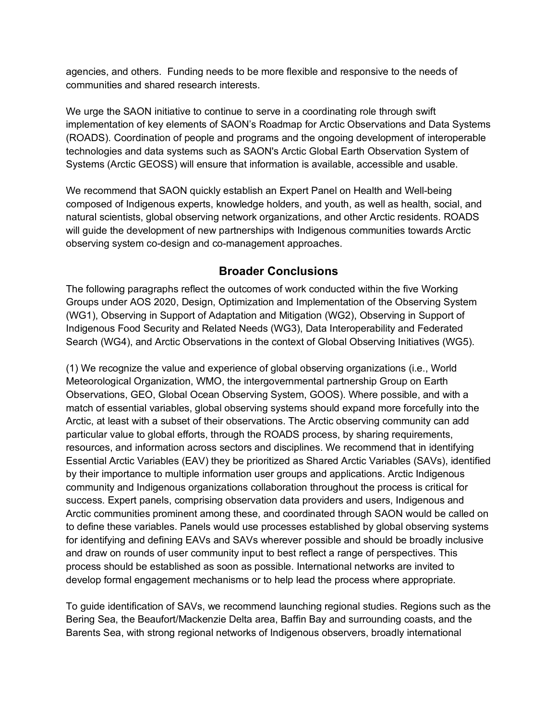agencies, and others. Funding needs to be more flexible and responsive to the needs of communities and shared research interests.

We urge the SAON initiative to continue to serve in a coordinating role through swift implementation of key elements of SAON's Roadmap for Arctic Observations and Data Systems (ROADS). Coordination of people and programs and the ongoing development of interoperable technologies and data systems such as SAON's Arctic Global Earth Observation System of Systems (Arctic GEOSS) will ensure that information is available, accessible and usable.

We recommend that SAON quickly establish an Expert Panel on Health and Well-being composed of Indigenous experts, knowledge holders, and youth, as well as health, social, and natural scientists, global observing network organizations, and other Arctic residents. ROADS will guide the development of new partnerships with Indigenous communities towards Arctic observing system co-design and co-management approaches.

#### **Broader Conclusions**

The following paragraphs reflect the outcomes of work conducted within the five Working Groups under AOS 2020, Design, Optimization and Implementation of the Observing System (WG1), Observing in Support of Adaptation and Mitigation (WG2), Observing in Support of Indigenous Food Security and Related Needs (WG3), Data Interoperability and Federated Search (WG4), and Arctic Observations in the context of Global Observing Initiatives (WG5).

(1) We recognize the value and experience of global observing organizations (i.e., World Meteorological Organization, WMO, the intergovernmental partnership Group on Earth Observations, GEO, Global Ocean Observing System, GOOS). Where possible, and with a match of essential variables, global observing systems should expand more forcefully into the Arctic, at least with a subset of their observations. The Arctic observing community can add particular value to global efforts, through the ROADS process, by sharing requirements, resources, and information across sectors and disciplines. We recommend that in identifying Essential Arctic Variables (EAV) they be prioritized as Shared Arctic Variables (SAVs), identified by their importance to multiple information user groups and applications. Arctic Indigenous community and Indigenous organizations collaboration throughout the process is critical for success. Expert panels, comprising observation data providers and users, Indigenous and Arctic communities prominent among these, and coordinated through SAON would be called on to define these variables. Panels would use processes established by global observing systems for identifying and defining EAVs and SAVs wherever possible and should be broadly inclusive and draw on rounds of user community input to best reflect a range of perspectives. This process should be established as soon as possible. International networks are invited to develop formal engagement mechanisms or to help lead the process where appropriate.

To guide identification of SAVs, we recommend launching regional studies. Regions such as the Bering Sea, the Beaufort/Mackenzie Delta area, Baffin Bay and surrounding coasts, and the Barents Sea, with strong regional networks of Indigenous observers, broadly international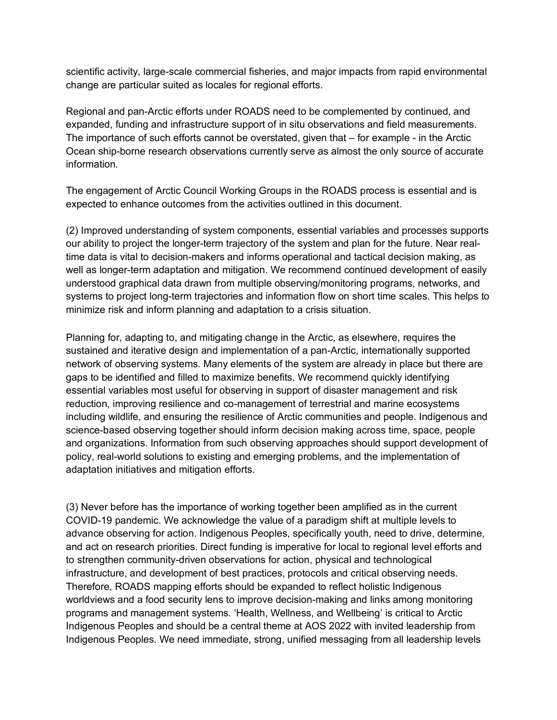scientific activity, large-scale commercial fisheries, and major impacts from rapid environmental change are particular suited as locales for regional efforts.

Regional and pan-Arctic efforts under ROADS need to be complemented by continued, and expanded, funding and infrastructure support of in situ observations and field measurements. The importance of such efforts cannot be overstated, given that – for example - in the Arctic Ocean ship-borne research observations currently serve as almost the only source of accurate information.

The engagement of Arctic Council Working Groups in the ROADS process is essential and is expected to enhance outcomes from the activities outlined in this document.

(2) Improved understanding of system components, essential variables and processes supports our ability to project the longer-term trajectory of the system and plan for the future. Near realtime data is vital to decision-makers and informs operational and tactical decision making, as well as longer-term adaptation and mitigation. We recommend continued development of easily understood graphical data drawn from multiple observing/monitoring programs, networks, and systems to project long-term trajectories and information flow on short time scales. This helps to minimize risk and inform planning and adaptation to a crisis situation.

Planning for, adapting to, and mitigating change in the Arctic, as elsewhere, requires the sustained and iterative design and implementation of a pan-Arctic, internationally supported network of observing systems. Many elements of the system are already in place but there are gaps to be identified and filled to maximize benefits. We recommend quickly identifying essential variables most useful for observing in support of disaster management and risk reduction, improving resilience and co-management of terrestrial and marine ecosystems including wildlife, and ensuring the resilience of Arctic communities and people. Indigenous and science-based observing together should inform decision making across time, space, people and organizations. Information from such observing approaches should support development of policy, real-world solutions to existing and emerging problems, and the implementation of adaptation initiatives and mitigation efforts.

(3) Never before has the importance of working together been amplified as in the current COVID-19 pandemic. We acknowledge the value of a paradigm shift at multiple levels to advance observing for action. Indigenous Peoples, specifically youth, need to drive, determine, and act on research priorities. Direct funding is imperative for local to regional level efforts and to strengthen community-driven observations for action, physical and technological infrastructure, and development of best practices, protocols and critical observing needs. Therefore, ROADS mapping efforts should be expanded to reflect holistic Indigenous worldviews and a food security lens to improve decision-making and links among monitoring programs and management systems. 'Health, Wellness, and Wellbeing' is critical to Arctic Indigenous Peoples and should be a central theme at AOS 2022 with invited leadership from Indigenous Peoples. We need immediate, strong, unified messaging from all leadership levels